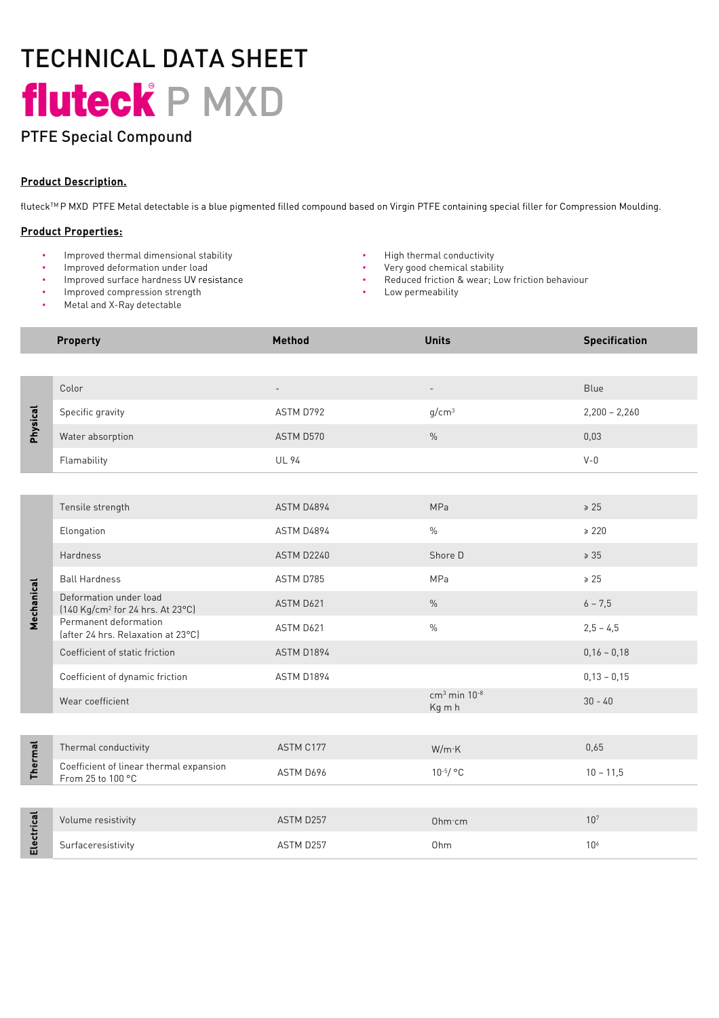# TECHNICAL DATA SHEET fluteck P MXD

### PTFE Special Compound

#### Product Description.

fluteck<sup>TM</sup> P MXD PTFE Metal detectable is a blue pigmented filled compound based on Virgin PTFE containing special filler for Compression Moulding.

#### Product Properties:

- Improved thermal dimensional stability entity and thermal conductivity of the High thermal conductivity
- Improved deformation under load **•** Very good chemical stability
- Improved surface hardness UV resistance
- Improved compression strength
- Metal and X-Ray detectable
- 
- 
- Reduced friction & wear; Low friction behaviour
- Low permeability

|                | <b>Property</b>                                                        | Method                   | <b>Units</b>                         | <b>Specification</b>           |
|----------------|------------------------------------------------------------------------|--------------------------|--------------------------------------|--------------------------------|
|                |                                                                        |                          |                                      |                                |
| Physical       | Color                                                                  | $\overline{\phantom{a}}$ | $\overline{\phantom{a}}$             | Blue                           |
|                | Specific gravity                                                       | ASTM D792                | g/cm <sup>3</sup>                    | $2,200 - 2,260$                |
|                | Water absorption                                                       | ASTM D570                | $\frac{0}{0}$                        | 0,03                           |
|                | Flamability                                                            | <b>UL 94</b>             |                                      | $\mathsf{V}\text{-}\mathsf{0}$ |
|                |                                                                        |                          |                                      |                                |
| Mechanical     | Tensile strength                                                       | ASTM D4894               | MPa                                  | $\geq 25$                      |
|                | Elongation                                                             | ASTM D4894               | $\%$                                 | $\geq 220$                     |
|                | Hardness                                                               | ASTM D2240               | Shore D                              | $\geq 35$                      |
|                | <b>Ball Hardness</b>                                                   | ASTM D785                | MPa                                  | $\geq 25$                      |
|                | Deformation under load<br>[140 Kg/cm <sup>2</sup> for 24 hrs. At 23°C] | ASTM D621                | $\%$                                 | $6 - 7,5$                      |
|                | Permanent deformation<br>(after 24 hrs. Relaxation at 23°C)            | ASTM D621                | $\frac{0}{0}$                        | $2,5 - 4,5$                    |
|                | Coefficient of static friction                                         | ASTM D1894               |                                      | $0,16 - 0,18$                  |
|                | Coefficient of dynamic friction                                        | ASTM D1894               |                                      | $0,13 - 0,15$                  |
|                | Wear coefficient                                                       |                          | $cm3$ min 10 <sup>-8</sup><br>Kg m h | $30 - 40$                      |
|                |                                                                        |                          |                                      |                                |
| <b>Thermal</b> | Thermal conductivity                                                   | ASTM C177                | W/m K                                | 0,65                           |
|                | Coefficient of linear thermal expansion<br>From 25 to 100 °C           | ASTM D696                | $10^{-5}/$ °C                        | $10 - 11,5$                    |
|                |                                                                        |                          |                                      |                                |
| Electrical     | Volume resistivity                                                     | ASTM D257                | Ohm·cm                               | 10 <sup>7</sup>                |
|                | Surfaceresistivity                                                     | ASTM D257                | Ohm                                  | 10 <sup>6</sup>                |
|                |                                                                        |                          |                                      |                                |
|                |                                                                        |                          |                                      |                                |
|                |                                                                        |                          |                                      |                                |
|                |                                                                        |                          |                                      |                                |
|                |                                                                        |                          |                                      |                                |